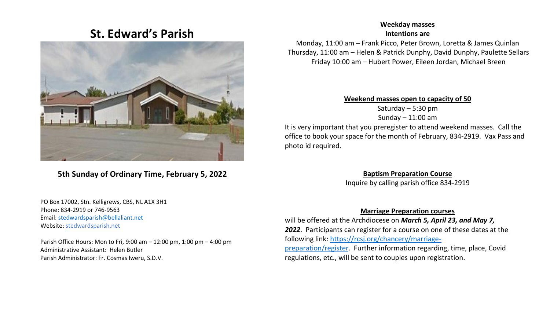# **St. Edward's Parish**



## **5th Sunday of Ordinary Time, February 5, 2022**

#### PO Box 17002, Stn. Kelligrews, CBS, NL A1X 3H1 Phone: 834-2919 or 746-9563 Email[: stedwardsparish@bellaliant.net](mailto:stedwardsparish@bellaliant.net)  Website: stedwardsparish.net

 Parish Office Hours: Mon to Fri, 9:00 am – 12:00 pm, 1:00 pm – 4:00 pm Administrative Assistant: Helen Butler Parish Administrator: Fr. Cosmas Iweru, S.D.V.

#### **Weekday masses**

**Intentions are**

Monday, 11:00 am – Frank Picco, Peter Brown, Loretta & James Quinlan Thursday, 11:00 am – Helen & Patrick Dunphy, David Dunphy, Paulette Sellars Friday 10:00 am – Hubert Power, Eileen Jordan, Michael Breen

**Weekend masses open to capacity of 50**

Saturday – 5:30 pm Sunday – 11:00 am

It is very important that you preregister to attend weekend masses. Call the office to book your space for the month of February, 834-2919. Vax Pass and photo id required.

**Baptism Preparation Course**

Inquire by calling parish office 834-2919

#### **Marriage Preparation courses**

will be offered at the Archdiocese on *March 5, April 23, and May 7, 2022*. Participants can register for a course on one of these dates at the following link: [https://rcsj.org/chancery/marriage](https://rcsj.org/chancery/marriage-preparation/register)[preparation/register.](https://rcsj.org/chancery/marriage-preparation/register) Further information regarding, time, place, Covid

regulations, etc., will be sent to couples upon registration.